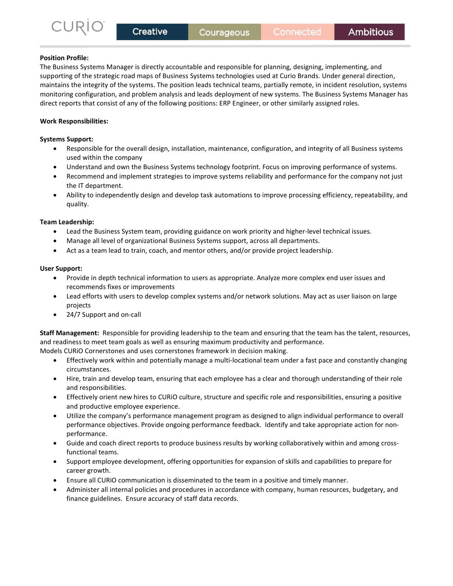# Position Profile:

The Business Systems Manager is directly accountable and responsible for planning, designing, implementing, and supporting of the strategic road maps of Business Systems technologies used at Curio Brands. Under general direction, maintains the integrity of the systems. The position leads technical teams, partially remote, in incident resolution, systems monitoring configuration, and problem analysis and leads deployment of new systems. The Business Systems Manager has direct reports that consist of any of the following positions: ERP Engineer, or other similarly assigned roles.

# Work Responsibilities:

## Systems Support:

- Responsible for the overall design, installation, maintenance, configuration, and integrity of all Business systems used within the company
- Understand and own the Business Systems technology footprint. Focus on improving performance of systems.
- Recommend and implement strategies to improve systems reliability and performance for the company not just the IT department.
- Ability to independently design and develop task automations to improve processing efficiency, repeatability, and quality.

## Team Leadership:

- Lead the Business System team, providing guidance on work priority and higher-level technical issues.
- Manage all level of organizational Business Systems support, across all departments.
- Act as a team lead to train, coach, and mentor others, and/or provide project leadership.

### User Support:

- Provide in depth technical information to users as appropriate. Analyze more complex end user issues and recommends fixes or improvements
- Lead efforts with users to develop complex systems and/or network solutions. May act as user liaison on large projects
- 24/7 Support and on-call

Staff Management:  Responsible for providing leadership to the team and ensuring that the team has the talent, resources, and readiness to meet team goals as well as ensuring maximum productivity and performance. 

Models CURiO Cornerstones and uses cornerstones framework in decision making.  

- Effectively work within and potentially manage a multi-locational team under a fast pace and constantly changing circumstances.
- Hire, train and develop team, ensuring that each employee has a clear and thorough understanding of their role and responsibilities.
- Effectively orient new hires to CURiO culture, structure and specific role and responsibilities, ensuring a positive and productive employee experience.
- Utilize the company's performance management program as designed to align individual performance to overall performance objectives. Provide ongoing performance feedback.  Identify and take appropriate action for nonperformance.
- Guide and coach direct reports to produce business results by working collaboratively within and among crossfunctional teams.
- Support employee development, offering opportunities for expansion of skills and capabilities to prepare for career growth.
- Ensure all CURiO communication is disseminated to the team in a positive and timely manner.
- Administer all internal policies and procedures in accordance with company, human resources, budgetary, and finance guidelines.  Ensure accuracy of staff data records.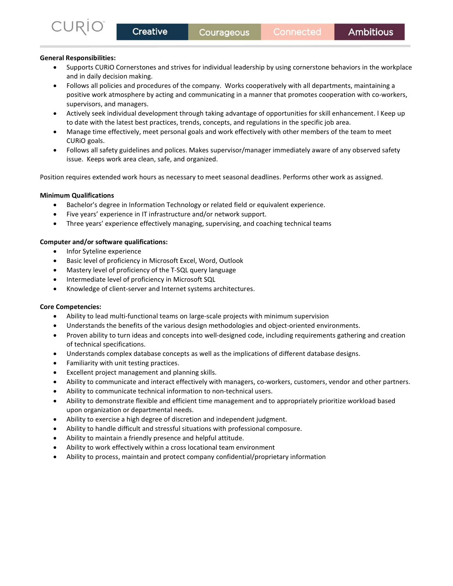## General Responsibilities:

JRI

- Supports CURiO Cornerstones and strives for individual leadership by using cornerstone behaviors in the workplace and in daily decision making.
- Follows all policies and procedures of the company. Works cooperatively with all departments, maintaining a positive work atmosphere by acting and communicating in a manner that promotes cooperation with co-workers, supervisors, and managers.
- Actively seek individual development through taking advantage of opportunities for skill enhancement. l Keep up to date with the latest best practices, trends, concepts, and regulations in the specific job area.
- Manage time effectively, meet personal goals and work effectively with other members of the team to meet CURiO goals.
- Follows all safety guidelines and polices. Makes supervisor/manager immediately aware of any observed safety issue. Keeps work area clean, safe, and organized.

Position requires extended work hours as necessary to meet seasonal deadlines. Performs other work as assigned.

## Minimum Qualifications

- Bachelor's degree in Information Technology or related field or equivalent experience.
- Five years' experience in IT infrastructure and/or network support.
- Three years' experience effectively managing, supervising, and coaching technical teams

## Computer and/or software qualifications:

- Infor Syteline experience
- Basic level of proficiency in Microsoft Excel, Word, Outlook
- Mastery level of proficiency of the T-SQL query language
- Intermediate level of proficiency in Microsoft SQL
- Knowledge of client-server and Internet systems architectures.

### Core Competencies:

- Ability to lead multi-functional teams on large-scale projects with minimum supervision
- Understands the benefits of the various design methodologies and object-oriented environments.
- Proven ability to turn ideas and concepts into well-designed code, including requirements gathering and creation of technical specifications.
- Understands complex database concepts as well as the implications of different database designs.
- Familiarity with unit testing practices.
- Excellent project management and planning skills.
- Ability to communicate and interact effectively with managers, co-workers, customers, vendor and other partners.
- Ability to communicate technical information to non-technical users.
- Ability to demonstrate flexible and efficient time management and to appropriately prioritize workload based upon organization or departmental needs.
- Ability to exercise a high degree of discretion and independent judgment.
- Ability to handle difficult and stressful situations with professional composure.
- Ability to maintain a friendly presence and helpful attitude.
- Ability to work effectively within a cross locational team environment
- Ability to process, maintain and protect company confidential/proprietary information